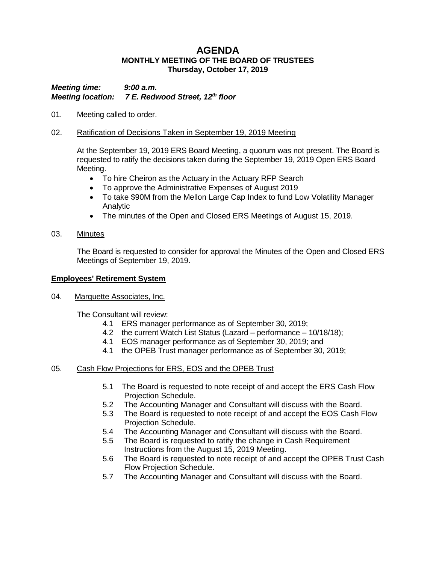# **AGENDA MONTHLY MEETING OF THE BOARD OF TRUSTEES Thursday, October 17, 2019**

*Meeting time: 9:00 a.m. Meeting location: 7 E. Redwood Street, 12th floor*

01. Meeting called to order.

## 02. Ratification of Decisions Taken in September 19, 2019 Meeting

At the September 19, 2019 ERS Board Meeting, a quorum was not present. The Board is requested to ratify the decisions taken during the September 19, 2019 Open ERS Board Meeting.

- To hire Cheiron as the Actuary in the Actuary RFP Search
- To approve the Administrative Expenses of August 2019
- To take \$90M from the Mellon Large Cap Index to fund Low Volatility Manager Analytic
- The minutes of the Open and Closed ERS Meetings of August 15, 2019.
- 03. Minutes

The Board is requested to consider for approval the Minutes of the Open and Closed ERS Meetings of September 19, 2019.

## **Employees' Retirement System**

04. Marquette Associates, Inc.

The Consultant will review:

- 4.1 ERS manager performance as of September 30, 2019;
- 4.2 the current Watch List Status (Lazard performance 10/18/18);
- 4.1 EOS manager performance as of September 30, 2019; and
- 4.1 the OPEB Trust manager performance as of September 30, 2019;

# 05. Cash Flow Projections for ERS, EOS and the OPEB Trust

- 5.1 The Board is requested to note receipt of and accept the ERS Cash Flow Projection Schedule.
- 5.2 The Accounting Manager and Consultant will discuss with the Board.
- 5.3 The Board is requested to note receipt of and accept the EOS Cash Flow Projection Schedule.
- 5.4 The Accounting Manager and Consultant will discuss with the Board.
- 5.5 The Board is requested to ratify the change in Cash Requirement Instructions from the August 15, 2019 Meeting.
- 5.6 The Board is requested to note receipt of and accept the OPEB Trust Cash Flow Projection Schedule.
- 5.7 The Accounting Manager and Consultant will discuss with the Board.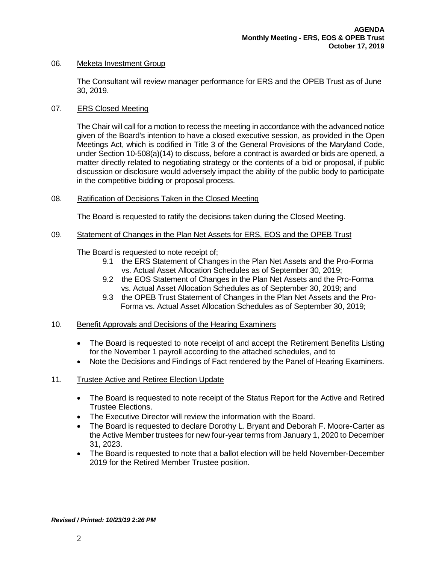#### 06. Meketa Investment Group

The Consultant will review manager performance for ERS and the OPEB Trust as of June 30, 2019.

## 07. ERS Closed Meeting

The Chair will call for a motion to recess the meeting in accordance with the advanced notice given of the Board's intention to have a closed executive session, as provided in the Open Meetings Act, which is codified in Title 3 of the General Provisions of the Maryland Code, under Section 10-508(a)(14) to discuss, before a contract is awarded or bids are opened, a matter directly related to negotiating strategy or the contents of a bid or proposal, if public discussion or disclosure would adversely impact the ability of the public body to participate in the competitive bidding or proposal process.

## 08. Ratification of Decisions Taken in the Closed Meeting

The Board is requested to ratify the decisions taken during the Closed Meeting.

#### 09. Statement of Changes in the Plan Net Assets for ERS, EOS and the OPEB Trust

The Board is requested to note receipt of;

- 9.1 the ERS Statement of Changes in the Plan Net Assets and the Pro-Forma vs. Actual Asset Allocation Schedules as of September 30, 2019;
- 9.2 the EOS Statement of Changes in the Plan Net Assets and the Pro-Forma vs. Actual Asset Allocation Schedules as of September 30, 2019; and
- 9.3 the OPEB Trust Statement of Changes in the Plan Net Assets and the Pro- Forma vs. Actual Asset Allocation Schedules as of September 30, 2019;

#### 10. Benefit Approvals and Decisions of the Hearing Examiners

- The Board is requested to note receipt of and accept the Retirement Benefits Listing for the November 1 payroll according to the attached schedules, and to
- Note the Decisions and Findings of Fact rendered by the Panel of Hearing Examiners.

# 11. Trustee Active and Retiree Election Update

- The Board is requested to note receipt of the Status Report for the Active and Retired Trustee Elections.
- The Executive Director will review the information with the Board.
- The Board is requested to declare Dorothy L. Bryant and Deborah F. Moore-Carter as the Active Member trustees for new four-year terms from January 1, 2020 to December 31, 2023.
- The Board is requested to note that a ballot election will be held November-December 2019 for the Retired Member Trustee position.